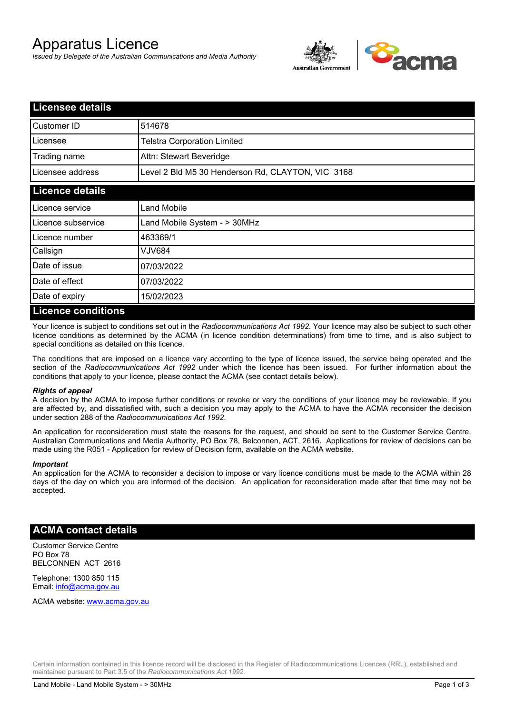# Apparatus Licence

*Issued by Delegate of the Australian Communications and Media Authority*



| <b>Licensee details</b> |                                                   |
|-------------------------|---------------------------------------------------|
| Customer ID             | 514678                                            |
| Licensee                | <b>Telstra Corporation Limited</b>                |
| Trading name            | Attn: Stewart Beveridge                           |
| Licensee address        | Level 2 Bld M5 30 Henderson Rd, CLAYTON, VIC 3168 |
| <b>Licence details</b>  |                                                   |
| Licence service         | <b>Land Mobile</b>                                |
| Licence subservice      | Land Mobile System - > 30MHz                      |
| Licence number          | 463369/1                                          |
| Callsign                | VJV684                                            |
| Date of issue           | 07/03/2022                                        |
| Date of effect          | 07/03/2022                                        |
| Date of expiry          | 15/02/2023                                        |
| Licance conditions      |                                                   |

#### **Licence conditions**

Your licence is subject to conditions set out in the *Radiocommunications Act 1992*. Your licence may also be subject to such other licence conditions as determined by the ACMA (in licence condition determinations) from time to time, and is also subject to special conditions as detailed on this licence.

The conditions that are imposed on a licence vary according to the type of licence issued, the service being operated and the section of the *Radiocommunications Act 1992* under which the licence has been issued. For further information about the conditions that apply to your licence, please contact the ACMA (see contact details below).

#### *Rights of appeal*

A decision by the ACMA to impose further conditions or revoke or vary the conditions of your licence may be reviewable. If you are affected by, and dissatisfied with, such a decision you may apply to the ACMA to have the ACMA reconsider the decision under section 288 of the *Radiocommunications Act 1992*.

An application for reconsideration must state the reasons for the request, and should be sent to the Customer Service Centre, Australian Communications and Media Authority, PO Box 78, Belconnen, ACT, 2616. Applications for review of decisions can be made using the R051 - Application for review of Decision form, available on the ACMA website.

#### *Important*

An application for the ACMA to reconsider a decision to impose or vary licence conditions must be made to the ACMA within 28 days of the day on which you are informed of the decision. An application for reconsideration made after that time may not be accepted.

### **ACMA contact details**

Customer Service Centre PO Box 78 BELCONNEN ACT 2616

Telephone: 1300 850 115 Email: info@acma.gov.au

ACMA website: www.acma.gov.au

Certain information contained in this licence record will be disclosed in the Register of Radiocommunications Licences (RRL), established and maintained pursuant to Part 3.5 of the *Radiocommunications Act 1992.*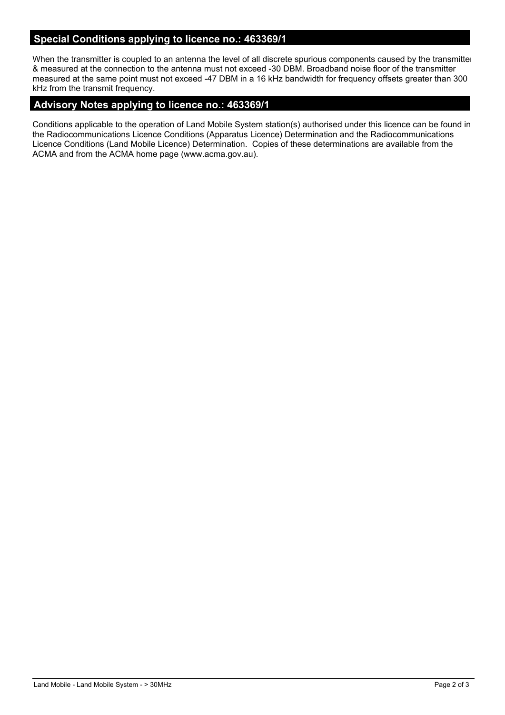# **Special Conditions applying to licence no.: 463369/1**

When the transmitter is coupled to an antenna the level of all discrete spurious components caused by the transmitter & measured at the connection to the antenna must not exceed -30 DBM. Broadband noise floor of the transmitter measured at the same point must not exceed -47 DBM in a 16 kHz bandwidth for frequency offsets greater than 300 kHz from the transmit frequency.

## **Advisory Notes applying to licence no.: 463369/1**

Conditions applicable to the operation of Land Mobile System station(s) authorised under this licence can be found in the Radiocommunications Licence Conditions (Apparatus Licence) Determination and the Radiocommunications Licence Conditions (Land Mobile Licence) Determination. Copies of these determinations are available from the ACMA and from the ACMA home page (www.acma.gov.au).